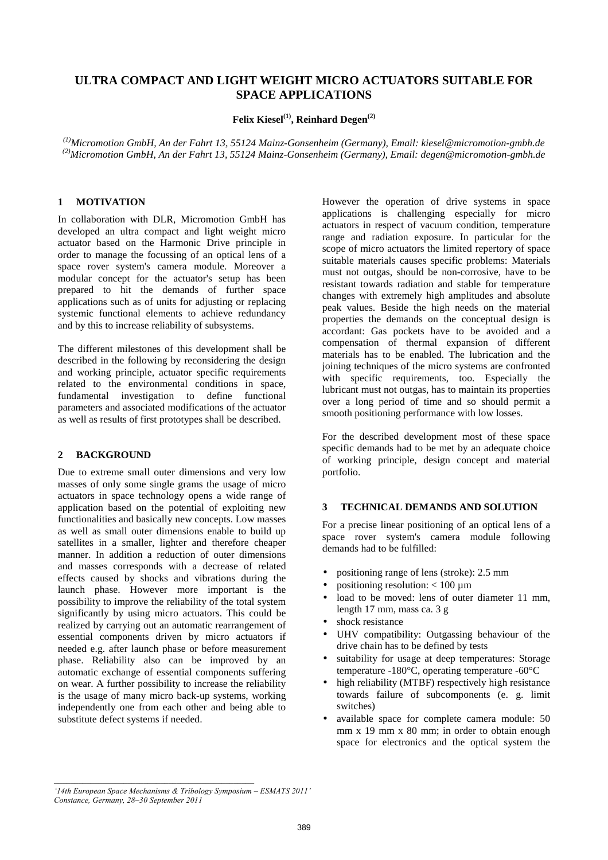# **ULTRA COMPACT AND LIGHT WEIGHT MICRO ACTUATORS SUITABLE FOR SPACE APPLICATIONS**

**Felix Kiesel(1), Reinhard Degen(2)**

*(1)Micromotion GmbH, An der Fahrt 13, 55124 Mainz-Gonsenheim (Germany), Email: kiesel@micromotion-gmbh.de (2)Micromotion GmbH, An der Fahrt 13, 55124 Mainz-Gonsenheim (Germany), Email: degen@micromotion-gmbh.de*

## **1 MOTIVATION**

In collaboration with DLR, Micromotion GmbH has developed an ultra compact and light weight micro actuator based on the Harmonic Drive principle in order to manage the focussing of an optical lens of a space rover system's camera module. Moreover a modular concept for the actuator's setup has been prepared to hit the demands of further space applications such as of units for adjusting or replacing systemic functional elements to achieve redundancy and by this to increase reliability of subsystems.

The different milestones of this development shall be described in the following by reconsidering the design and working principle, actuator specific requirements related to the environmental conditions in space, fundamental investigation to define functional parameters and associated modifications of the actuator as well as results of first prototypes shall be described.

## **2 BACKGROUND**

Due to extreme small outer dimensions and very low masses of only some single grams the usage of micro actuators in space technology opens a wide range of application based on the potential of exploiting new functionalities and basically new concepts. Low masses as well as small outer dimensions enable to build up satellites in a smaller, lighter and therefore cheaper manner. In addition a reduction of outer dimensions and masses corresponds with a decrease of related effects caused by shocks and vibrations during the launch phase. However more important is the possibility to improve the reliability of the total system significantly by using micro actuators. This could be realized by carrying out an automatic rearrangement of essential components driven by micro actuators if needed e.g. after launch phase or before measurement phase. Reliability also can be improved by an automatic exchange of essential components suffering on wear. A further possibility to increase the reliability is the usage of many micro back-up systems, working independently one from each other and being able to substitute defect systems if needed.

However the operation of drive systems in space applications is challenging especially for micro actuators in respect of vacuum condition, temperature range and radiation exposure. In particular for the scope of micro actuators the limited repertory of space suitable materials causes specific problems: Materials must not outgas, should be non-corrosive, have to be resistant towards radiation and stable for temperature changes with extremely high amplitudes and absolute peak values. Beside the high needs on the material properties the demands on the conceptual design is accordant: Gas pockets have to be avoided and a compensation of thermal expansion of different materials has to be enabled. The lubrication and the joining techniques of the micro systems are confronted with specific requirements, too. Especially the lubricant must not outgas, has to maintain its properties over a long period of time and so should permit a smooth positioning performance with low losses.

For the described development most of these space specific demands had to be met by an adequate choice of working principle, design concept and material portfolio.

## **3 TECHNICAL DEMANDS AND SOLUTION**

For a precise linear positioning of an optical lens of a space rover system's camera module following demands had to be fulfilled:

- positioning range of lens (stroke): 2.5 mm
- positioning resolution:  $< 100 \mu m$
- load to be moved: lens of outer diameter 11 mm, length 17 mm, mass ca. 3 g
- shock resistance
- UHV compatibility: Outgassing behaviour of the drive chain has to be defined by tests
- suitability for usage at deep temperatures: Storage temperature -180°C, operating temperature -60°C
- high reliability (MTBF) respectively high resistance towards failure of subcomponents (e. g. limit switches)
- available space for complete camera module: 50 mm x 19 mm x 80 mm; in order to obtain enough space for electronics and the optical system the

*<sup>&#</sup>x27;14th European Space Mechanisms & Tribology Symposium – ESMATS 2011' Constance, Germany, 28–30 September 2011*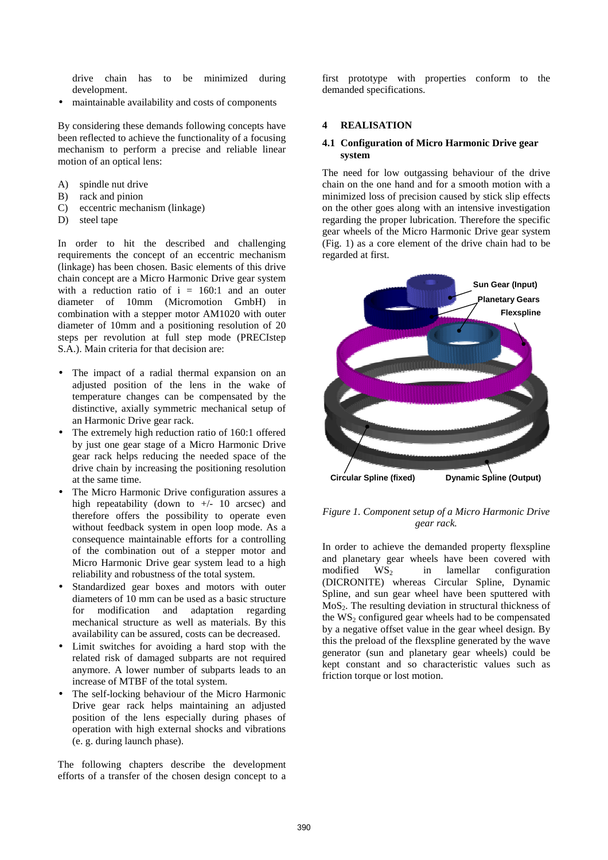drive chain has to be minimized during development.

• maintainable availability and costs of components

By considering these demands following concepts have been reflected to achieve the functionality of a focusing mechanism to perform a precise and reliable linear motion of an optical lens:

- A) spindle nut drive
- B) rack and pinion
- C) eccentric mechanism (linkage)
- D) steel tape

In order to hit the described and challenging requirements the concept of an eccentric mechanism (linkage) has been chosen. Basic elements of this drive chain concept are a Micro Harmonic Drive gear system with a reduction ratio of  $i = 160:1$  and an outer diameter of 10mm (Micromotion GmbH) in combination with a stepper motor AM1020 with outer diameter of 10mm and a positioning resolution of 20 steps per revolution at full step mode (PRECIstep S.A.). Main criteria for that decision are:

- The impact of a radial thermal expansion on an adjusted position of the lens in the wake of temperature changes can be compensated by the distinctive, axially symmetric mechanical setup of an Harmonic Drive gear rack.
- The extremely high reduction ratio of 160:1 offered by just one gear stage of a Micro Harmonic Drive gear rack helps reducing the needed space of the drive chain by increasing the positioning resolution at the same time.
- The Micro Harmonic Drive configuration assures a high repeatability (down to  $+/-$  10 arcsec) and therefore offers the possibility to operate even without feedback system in open loop mode. As a consequence maintainable efforts for a controlling of the combination out of a stepper motor and Micro Harmonic Drive gear system lead to a high reliability and robustness of the total system.
- Standardized gear boxes and motors with outer diameters of 10 mm can be used as a basic structure for modification and adaptation regarding mechanical structure as well as materials. By this availability can be assured, costs can be decreased.
- Limit switches for avoiding a hard stop with the related risk of damaged subparts are not required anymore. A lower number of subparts leads to an increase of MTBF of the total system.
- The self-locking behaviour of the Micro Harmonic Drive gear rack helps maintaining an adjusted position of the lens especially during phases of operation with high external shocks and vibrations (e. g. during launch phase).

The following chapters describe the development efforts of a transfer of the chosen design concept to a

first prototype with properties conform to the demanded specifications.

## **4 REALISATION**

### **4.1 Configuration of Micro Harmonic Drive gear system**

The need for low outgassing behaviour of the drive chain on the one hand and for a smooth motion with a minimized loss of precision caused by stick slip effects on the other goes along with an intensive investigation regarding the proper lubrication. Therefore the specific gear wheels of the Micro Harmonic Drive gear system (Fig. 1) as a core element of the drive chain had to be regarded at first.



*Figure 1. Component setup of a Micro Harmonic Drive gear rack.*

In order to achieve the demanded property flexspline and planetary gear wheels have been covered with  $modified$   $WS<sub>2</sub>$  in lamellar configuration (DICRONITE) whereas Circular Spline, Dynamic Spline, and sun gear wheel have been sputtered with  $MoS<sub>2</sub>$ . The resulting deviation in structural thickness of the  $WS_2$  configured gear wheels had to be compensated by a negative offset value in the gear wheel design. By this the preload of the flexspline generated by the wave generator (sun and planetary gear wheels) could be kept constant and so characteristic values such as friction torque or lost motion.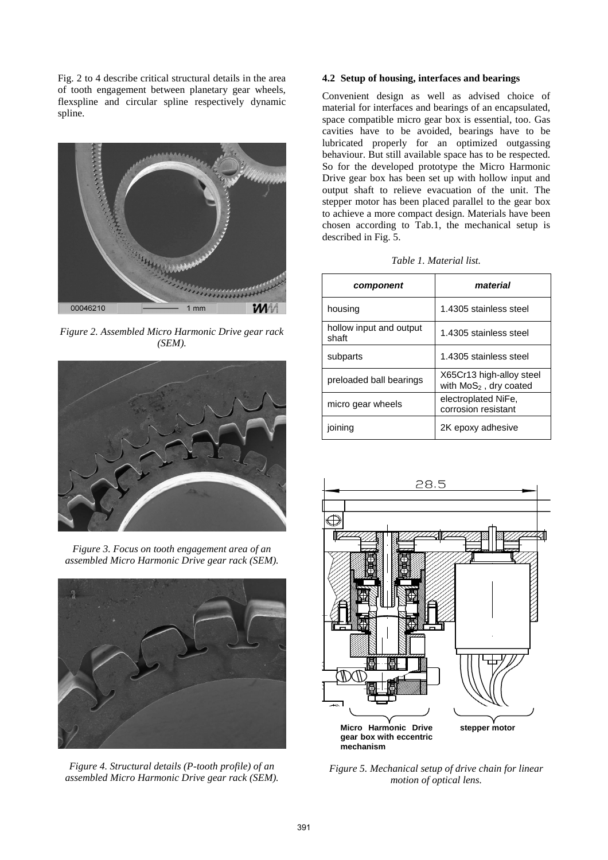Fig. 2 to 4 describe critical structural details in the area of tooth engagement between planetary gear wheels, flexspline and circular spline respectively dynamic spline.



*Figure 2. Assembled Micro Harmonic Drive gear rack (SEM).*



*Figure 3. Focus on tooth engagement area of an assembled Micro Harmonic Drive gear rack (SEM).* 



*Figure 4. Structural details (P-tooth profile) of an assembled Micro Harmonic Drive gear rack (SEM).*

## **4.2 Setup of housing, interfaces and bearings**

Convenient design as well as advised choice of material for interfaces and bearings of an encapsulated, space compatible micro gear box is essential, too. Gas cavities have to be avoided, bearings have to be lubricated properly for an optimized outgassing behaviour. But still available space has to be respected. So for the developed prototype the Micro Harmonic Drive gear box has been set up with hollow input and output shaft to relieve evacuation of the unit. The stepper motor has been placed parallel to the gear box to achieve a more compact design. Materials have been chosen according to Tab.1, the mechanical setup is described in Fig. 5.

| component                        | material                                             |
|----------------------------------|------------------------------------------------------|
| housing                          | 1.4305 stainless steel                               |
| hollow input and output<br>shaft | 1.4305 stainless steel                               |
| subparts                         | 1.4305 stainless steel                               |
| preloaded ball bearings          | X65Cr13 high-alloy steel<br>with $MoS2$ , dry coated |
| micro gear wheels                | electroplated NiFe,<br>corrosion resistant           |
| ioinina                          | 2K epoxy adhesive                                    |



*Figure 5. Mechanical setup of drive chain for linear motion of optical lens.*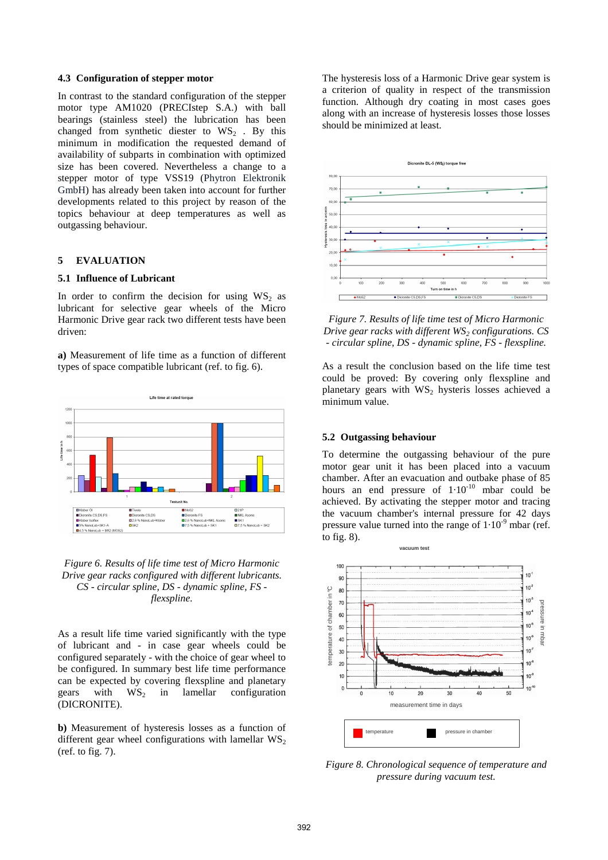#### **4.3 Configuration of stepper motor**

In contrast to the standard configuration of the stepper motor type AM1020 (PRECIstep S.A.) with ball bearings (stainless steel) the lubrication has been changed from synthetic diester to  $WS_2$ . By this minimum in modification the requested demand of availability of subparts in combination with optimized size has been covered. Nevertheless a change to a stepper motor of type VSS19 (Phytron Elektronik GmbH) has already been taken into account for further developments related to this project by reason of the topics behaviour at deep temperatures as well as outgassing behaviour.

#### **5 EVALUATION**

#### **5.1 Influence of Lubricant**

In order to confirm the decision for using  $WS_2$  as lubricant for selective gear wheels of the Micro Harmonic Drive gear rack two different tests have been driven:

**a)** Measurement of life time as a function of different types of space compatible lubricant (ref. to fig. 6).



*Figure 6. Results of life time test of Micro Harmonic Drive gear racks configured with different lubricants. CS - circular spline, DS - dynamic spline, FS flexspline.*

As a result life time varied significantly with the type of lubricant and - in case gear wheels could be configured separately - with the choice of gear wheel to be configured. In summary best life time performance can be expected by covering flexspline and planetary gears with  $WS_2$  in lamellar configuration (DICRONITE).

**b)** Measurement of hysteresis losses as a function of different gear wheel configurations with lamellar  $WS_2$ (ref. to fig. 7).

The hysteresis loss of a Harmonic Drive gear system is a criterion of quality in respect of the transmission function. Although dry coating in most cases goes along with an increase of hysteresis losses those losses should be minimized at least.



*Figure 7. Results of life time test of Micro Harmonic Drive gear racks with different WS2 configurations. CS - circular spline, DS - dynamic spline, FS - flexspline.*

As a result the conclusion based on the life time test could be proved: By covering only flexspline and planetary gears with  $WS_2$  hysteris losses achieved a minimum value.

#### **5.2 Outgassing behaviour**

To determine the outgassing behaviour of the pure motor gear unit it has been placed into a vacuum chamber. After an evacuation and outbake phase of 85 hours an end pressure of  $1.10^{-10}$  mbar could be achieved. By activating the stepper motor and tracing the vacuum chamber's internal pressure for 42 days pressure value turned into the range of  $1.10<sup>-9</sup>$  mbar (ref. to fig. 8).



*Figure 8. Chronological sequence of temperature and pressure during vacuum test.*